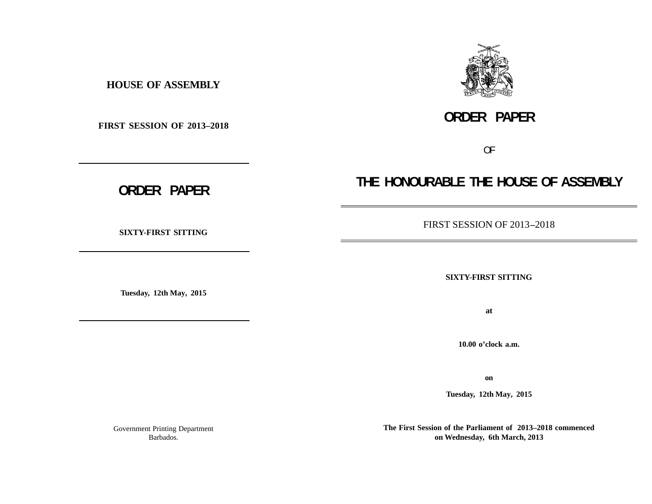**HOUSE OF ASSEMBLY**

**FIRST SESSION OF 2013–2018**

**SIXTY-FIRST SITTING**

**Tuesday, 12th May, 2015**

**THE HONOURABLE THE HOUSE OF ASSEMBLY**

FIRST SESSION OF 2013 **–**2018

**SIXTY-FIRST SITTING**

**at**

**10.00 o'clock a.m.**

**on**

**Tuesday, 12th May, 2015**

**The First Session of the Parliament of 2013–2018 commenced on Wednesday, 6th March, 2013**

Government Printing Department Barbados.



**ORDER PAPER**

OF

**ORDER PAPER**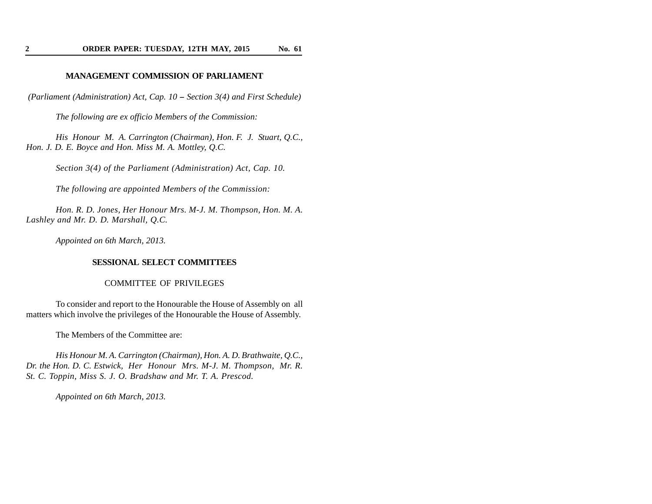# **MANAGEMENT COMMISSION OF PARLIAMENT**

*(Parliament (Administration) Act, Cap. 10 -- Section 3(4) and First Schedule)*

*The following are ex officio Members of the Commission:*

*His Honour M. A. Carrington (Chairman), Hon. F. J. Stuart, Q.C., Hon. J. D. E. Boyce and Hon. Miss M. A. Mottley, Q.C.*

*Section 3(4) of the Parliament (Administration) Act, Cap. 10.*

*The following are appointed Members of the Commission:*

*Hon. R. D. Jones, Her Honour Mrs. M-J. M. Thompson, Hon. M. A. Lashley and Mr. D. D. Marshall, Q.C.*

*Appointed on 6th March, 2013.*

#### **SESSIONAL SELECT COMMITTEES**

#### COMMITTEE OF PRIVILEGES

To consider and report to the Honourable the House of Assembly on all matters which involve the privileges of the Honourable the House of Assembly.

The Members of the Committee are:

*His Honour M. A. Carrington (Chairman), Hon. A. D. Brathwaite, Q.C., Dr. the Hon. D. C. Estwick, Her Honour Mrs. M-J. M. Thompson, Mr. R. St. C. Toppin, Miss S. J. O. Bradshaw and Mr. T. A. Prescod.*

*Appointed on 6th March, 2013.*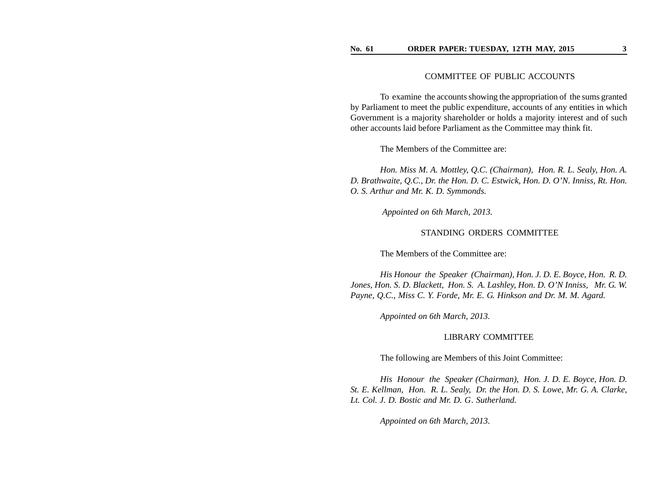## COMMITTEE OF PUBLIC ACCOUNTS

To examine the accounts showing the appropriation of the sums granted by Parliament to meet the public expenditure, accounts of any entities in which Government is a majority shareholder or holds a majority interest and of such other accounts laid before Parliament as the Committee may think fit.

The Members of the Committee are:

*Hon. Miss M. A. Mottley, Q.C. (Chairman), Hon. R. L. Sealy, Hon. A. D. Brathwaite, Q.C., Dr. the Hon. D. C. Estwick, Hon. D. O'N. Inniss, Rt. Hon. O. S. Arthur and Mr. K. D. Symmonds.*

*Appointed on 6th March, 2013.*

## STANDING ORDERS COMMITTEE

The Members of the Committee are:

*His Honour the Speaker (Chairman), Hon. J. D. E. Boyce, Hon. R. D. Jones, Hon. S. D. Blackett, Hon. S. A. Lashley, Hon. D. O'N Inniss, Mr. G . W. Payne, Q.C., Miss C. Y. Forde, Mr. E. G . Hinkson and Dr. M. M. Agard.*

*Appointed on 6th March, 2013.*

#### LIBRARY COMMITTEE

The following are Members of this Joint Committee:

*His Honour the Speaker (Chairman), Hon. J. D. E. Boyce, Hon. D. St. E. Kellman, Hon. R. L. Sealy, Dr. the Hon. D. S. Lowe, Mr. G . A. Clarke,* Lt. Col. J. D. Bostic and Mr. D. G. Sutherland.

*Appointed on 6th March, 2013.*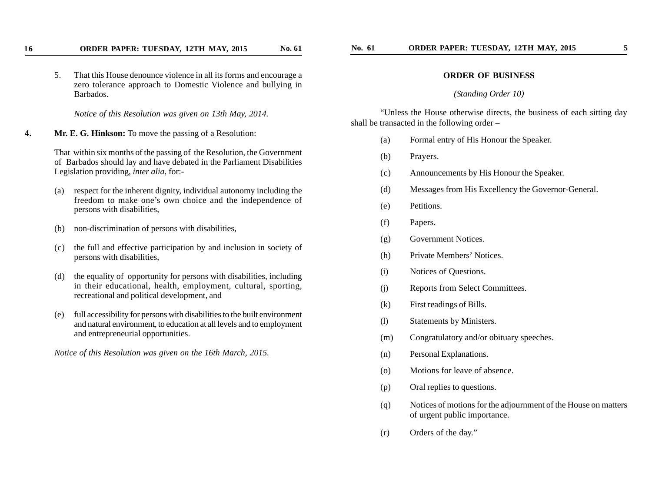5. That this House denounce violence in all its forms and encourage a zero tolerance approach to Domestic Violence and bullying in Barbados.

*Notice of this Resolution was given on 13th May, 2014.*

**4. Mr. E. G. Hinkson:** To move the passing of a Resolution:

That within six months of the passing of the Resolution, the Government of Barbados should lay and have debated in the Parliament Disabilities Legislation providing, *inter alia*, for:-

- (a) respect for the inherent dignity, individual autonomy including the freedom to make one's own choice and the independence of persons with disabilities,
- (b) non-discrimination of persons with disabilities,
- (c) the full and effective participation by and inclusion in society of persons with disabilities,
- (d) the equality of opportunity for persons with disabilities, including in their educational, health, employment, cultural, sporting, recreational and political development, and
- (e) full accessibility for persons with disabilities to the built environment and natural environment, to education at all levels and to employment and entrepreneurial opportunities.

*Notice of this Resolution was given on the 16th March, 2015.*

### **ORDER OF BUSINESS**

#### *(Standing Order 10)*

"Unless the House otherwise directs, the business of each sitting day shall be transacted in the following order –

- (a) Formal entry of His Honour the Speaker.
- (b) Prayers.
- (c) Announcements by His Honour the Speaker.
- (d) Messages from His Excellency the Governor-General.
- (e) Petitions.
- (f) Papers.
- (g) Government Notices.
- (h) Private Members' Notices.
- (i) Notices of Questions.
- (j) Reports from Select Committees.
- (k) First readings of Bills.
- (l) Statements by Ministers.
- (m) Congratulatory and/or obituary speeches.
- (n) Personal Explanations.
- (o) Motions for leave of absence.
- (p) Oral replies to questions.
- (q) Notices of motions for the adjournment of the House on matters of urgent public importance.
- (r) Orders of the day."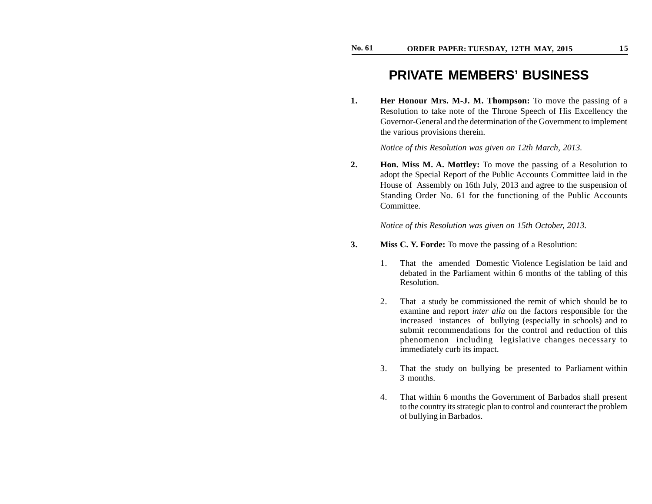# **PRIVATE MEMBERS' BUSINESS**

**1. Her Honour Mrs. M-J. M. Thompson:** To move the passing of a Resolution to take note of the Throne Speech of His Excellency the Governor-General and the determination of the Government to implement the various provisions therein.

*Notice of this Resolution was given on 12th March, 2013.*

**2. Hon. Miss M. A. Mottley:** To move the passing of a Resolution to adopt the Special Report of the Public Accounts Committee laid in the House of Assembly on 16th July, 2013 and agree to the suspension of Standing Order No. 61 for the functioning of the Public Accounts Committee.

*Notice of this Resolution was given on 15th October, 2013.*

- **3. Miss C. Y. Forde:** To move the passing of a Resolution:
	- 1. That the amended Domestic Violence Legislation be laid and debated in the Parliament within 6 months of the tabling of this Resolution.
	- 2. That a study be commissioned the remit of which should be to examine and report *inter alia* on the factors responsible for the increased instances of bullying (especially in schools) and to submit recommendations for the control and reduction of this phenomenon including legislative changes necessary to immediately curb its impact.
	- 3. That the study on bullying be presented to Parliament within 3 months.
	- 4. That within 6 months the Government of Barbados shall present to the country its strategic plan to control and counteract the problem of bullying in Barbados.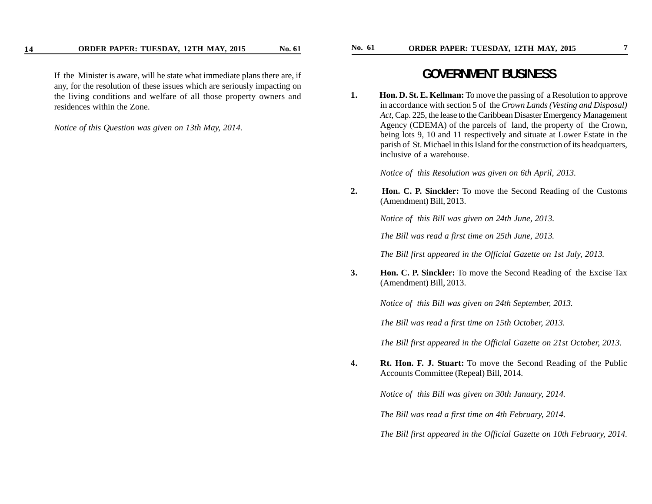If the Minister is aware, will he state what immediate plans there are, if any, for the resolution of these issues which are seriously impacting on the living conditions and welfare of all those property owners and residences within the Zone.

*Notice of this Question was given on 13th May, 2014.*

# **GOVERNMENT BUSINESS**

**1. Hon. D. St. E. Kellman:** To move the passing of a Resolution to approve in accordance with section 5 of the *Crown Lands (Vesting and Disposal) Act,* Cap. 225, the lease to the Caribbean Disaster Emergency Management Agency (CDEMA) of the parcels of land, the property of the Crown, being lots 9, 10 and 11 respectively and situate at Lower Estate in the parish of St. Michael in this Island for the construction of its headquarters, inclusive of a warehouse.

*Notice of this Resolution was given on 6th April, 2013.*

**2. Hon. C. P. Sinckler:** To move the Second Reading of the Customs (Amendment) Bill, 2013.

*Notice of this Bill was given on 24th June, 2013.*

*The Bill was read a first time on 25th June, 2013.*

*The Bill first appeared in the Official Gazette on 1st July, 2013.*

**3. Hon. C. P. Sinckler:** To move the Second Reading of the Excise Tax (Amendment) Bill, 2013.

*Notice of this Bill was given on 24th September, 2013.*

*The Bill was read a first time on 15th October, 2013.*

*The Bill first appeared in the Official Gazette on 21st October, 2013.*

**4. Rt. Hon. F. J. Stuart:** To move the Second Reading of the Public Accounts Committee (Repeal) Bill, 2014.

*Notice of this Bill was given on 30th January, 2014.*

*The Bill was read a first time on 4th February, 2014.*

*The Bill first appeared in the Official Gazette on 10th February, 2014.*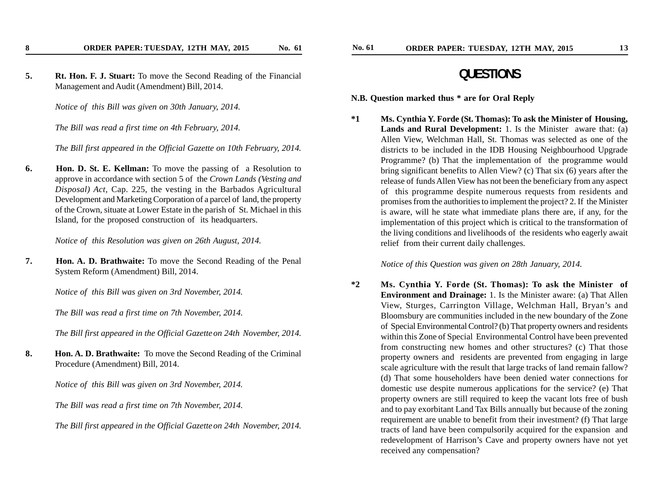**5. Rt. Hon. F. J. Stuart:** To move the Second Reading of the Financial Management and Audit (Amendment) Bill, 2014.

*Notice of this Bill was given on 30th January, 2014.*

*The Bill was read a first time on 4th February, 2014.*

*The Bill first appeared in the Official Gazette on 10th February, 2014.*

**6. Hon. D. St. E. Kellman:** To move the passing of a Resolution to approve in accordance with section 5 of the *Crown Lands (Vesting and Disposal) Act,* Cap. 225, the vesting in the Barbados Agricultural Development and Marketing Corporation of a parcel of land, the property of the Crown, situate at Lower Estate in the parish of St. Michael in this Island, for the proposed construction of its headquarters.

*Notice of this Resolution was given on 26th August, 2014.*

**7. Hon. A. D. Brathwaite:** To move the Second Reading of the Penal System Reform (Amendment) Bill, 2014.

*Notice of this Bill was given on 3rd November, 2014.*

*The Bill was read a first time on 7th November, 2014.*

*The Bill first appeared in the Official Gazette on 24th November, 2014.*

**8. Hon. A. D. Brathwaite:** To move the Second Reading of the Criminal Procedure (Amendment) Bill, 2014.

*Notice of this Bill was given on 3rd November, 2014.*

*The Bill was read a first time on 7th November, 2014.*

*The Bill first appeared in the Official Gazette on 24th November, 2014.*

# **QUESTIONS**

**N.B. Question marked thus \* are for Oral Reply**

**\*1 Ms. Cynthia Y. Forde (St. Thomas): To ask the Minister of Housing, Lands and Rural Development:** 1. Is the Minister aware that: (a) Allen View, Welchman Hall, St. Thomas was selected as one of the districts to be included in the IDB Housing Neighbourhood Upgrade Programme? (b) That the implementation of the programme would bring significant benefits to Allen View? (c) That six (6) years after the release of funds Allen View has not been the beneficiary from any aspect of this programme despite numerous requests from residents and promises from the authorities to implement the project? 2. If the Minister is aware, will he state what immediate plans there are, if any, for the implementation of this project which is critical to the transformation of the living conditions and livelihoods of the residents who eagerly await relief from their current daily challenges.

# *Notice of this Question was given on 28th January, 2014.*

**\*2 Ms. Cynthia Y. Forde (St. Thomas): To ask the Minister of Environment and Drainage:** 1. Is the Minister aware: (a) That Allen View, Sturges, Carrington Village, Welchman Hall, Bryan's and Bloomsbury are communities included in the new boundary of the Zone of Special Environmental Control? (b) That property owners and residents within this Zone of Special Environmental Control have been prevented from constructing new homes and other structures? (c) That those property owners and residents are prevented from engaging in large scale agriculture with the result that large tracks of land remain fallow? (d) That some householders have been denied water connections for domestic use despite numerous applications for the service? (e) That property owners are still required to keep the vacant lots free of bush and to pay exorbitant Land Tax Bills annually but because of the zoning requirement are unable to benefit from their investment? (f) That large tracts of land have been compulsorily acquired for the expansion and redevelopment of Harrison's Cave and property owners have not yet received any compensation?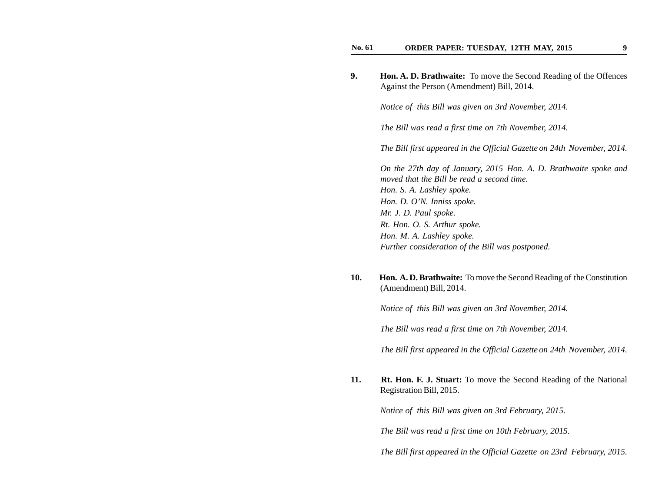| 9. | <b>Hon. A. D. Brathwaite:</b> To move the Second Reading of the Offences<br>Against the Person (Amendment) Bill, 2014. |
|----|------------------------------------------------------------------------------------------------------------------------|
|    | Notice of this Bill was given on 3rd November, 2014.                                                                   |
|    | The Bill was read a first time on 7th November, 2014.                                                                  |
|    | The Bill first appeared in the Official Gazette on 24th November, 2014.                                                |
|    | On the 27th day of January, 2015 Hon. A. D. Brathwaite spoke and<br>moved that the Bill be read a second time.         |
|    | Hon. S. A. Lashley spoke.                                                                                              |
|    | Hon. D. O'N. Inniss spoke.                                                                                             |
|    | Mr. J. D. Paul spoke.                                                                                                  |
|    | Rt. Hon. O. S. Arthur spoke.                                                                                           |
|    | Hon. M. A. Lashley spoke.                                                                                              |

**10. Hon. A. D. Brathwaite:** To move the Second Reading of the Constitution (Amendment) Bill, 2014.

*Notice of this Bill was given on 3rd November, 2014.*

*Further consideration of the Bill was postponed.*

*The Bill was read a first time on 7th November, 2014.*

*The Bill first appeared in the Official Gazette on 24th November, 2014.*

**11. Rt. Hon. F. J. Stuart:** To move the Second Reading of the National Registration Bill, 2015.

*Notice of this Bill was given on 3rd February, 2015.*

*The Bill was read a first time on 10th February, 2015.*

*The Bill first appeared in the Official Gazette on 23rd February, 2015.*